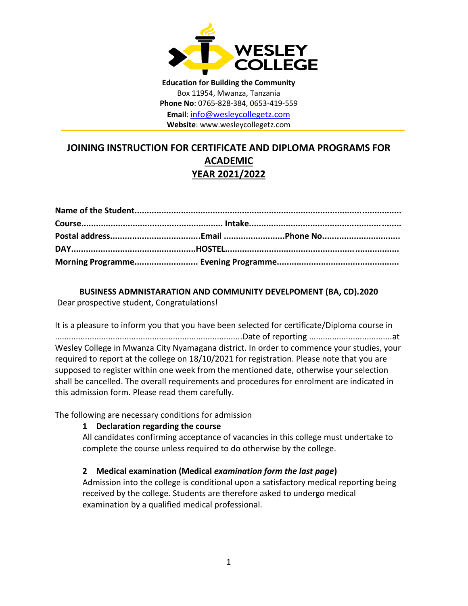

**Education for Building the Community** Box 11954, Mwanza, Tanzania **Phone No**: 0765-828-384, 0653-419-559 **Email**: [info@wesleycollegetz.com](mailto:info@wesleycollegetz.com) **Website**: www.wesleycollegetz.com

# **JOINING INSTRUCTION FOR CERTIFICATE AND DIPLOMA PROGRAMS FOR ACADEMIC YEAR 2021/2022**

**BUSINESS ADMNISTARATION AND COMMUNITY DEVELPOMENT (BA, CD).2020** Dear prospective student, Congratulations!

It is a pleasure to inform you that you have been selected for certificate/Diploma course in .................................................................................Date of reporting ....................................at Wesley College in Mwanza City Nyamagana district. In order to commence your studies, your required to report at the college on 18/10/2021 for registration. Please note that you are supposed to register within one week from the mentioned date, otherwise your selection shall be cancelled. The overall requirements and procedures for enrolment are indicated in this admission form. Please read them carefully.

The following are necessary conditions for admission

#### **1 Declaration regarding the course**

All candidates confirming acceptance of vacancies in this college must undertake to complete the course unless required to do otherwise by the college.

## **2 Medical examination (Medical** *examination form the last page***)**

Admission into the college is conditional upon a satisfactory medical reporting being received by the college. Students are therefore asked to undergo medical examination by a qualified medical professional.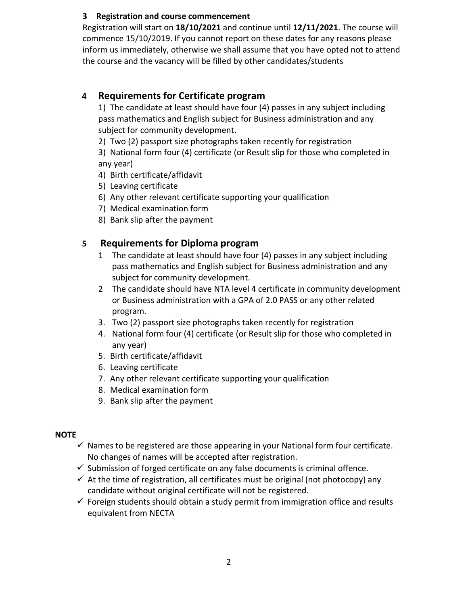## **3 Registration and course commencement**

Registration will start on **18/10/2021** and continue until **12/11/2021**. The course will commence 15/10/2019. If you cannot report on these dates for any reasons please inform us immediately, otherwise we shall assume that you have opted not to attend the course and the vacancy will be filled by other candidates/students

## **4 Requirements for Certificate program**

1) The candidate at least should have four (4) passes in any subject including pass mathematics and English subject for Business administration and any subject for community development.

2) Two (2) passport size photographs taken recently for registration

3) National form four (4) certificate (or Result slip for those who completed in any year)

- 4) Birth certificate/affidavit
- 5) Leaving certificate
- 6) Any other relevant certificate supporting your qualification
- 7) Medical examination form
- 8) Bank slip after the payment

## **5 Requirements for Diploma program**

- 1 The candidate at least should have four (4) passes in any subject including pass mathematics and English subject for Business administration and any subject for community development.
- 2 The candidate should have NTA level 4 certificate in community development or Business administration with a GPA of 2.0 PASS or any other related program.
- 3. Two (2) passport size photographs taken recently for registration
- 4. National form four (4) certificate (or Result slip for those who completed in any year)
- 5. Birth certificate/affidavit
- 6. Leaving certificate
- 7. Any other relevant certificate supporting your qualification
- 8. Medical examination form
- 9. Bank slip after the payment

## **NOTE**

- $\checkmark$  Names to be registered are those appearing in your National form four certificate. No changes of names will be accepted after registration.
- $\checkmark$  Submission of forged certificate on any false documents is criminal offence.
- $\checkmark$  At the time of registration, all certificates must be original (not photocopy) any candidate without original certificate will not be registered.
- $\checkmark$  Foreign students should obtain a study permit from immigration office and results equivalent from NECTA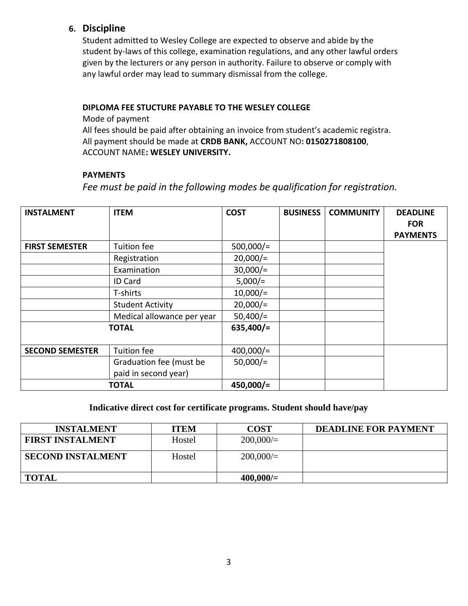## **6. Discipline**

Student admitted to Wesley College are expected to observe and abide by the student by-laws of this college, examination regulations, and any other lawful orders given by the lecturers or any person in authority. Failure to observe or comply with any lawful order may lead to summary dismissal from the college.

### **DIPLOMA FEE STUCTURE PAYABLE TO THE WESLEY COLLEGE**

Mode of payment

All fees should be paid after obtaining an invoice from student's academic registra. All payment should be made at **CRDB BANK,** ACCOUNT NO**: 0150271808100**, ACCOUNT NAME**: WESLEY UNIVERSITY.**

### **PAYMENTS**

*Fee must be paid in the following modes be qualification for registration.*

| <b>INSTALMENT</b>      | <b>ITEM</b>                          | <b>COST</b>  | <b>BUSINESS</b> | <b>COMMUNITY</b> | <b>DEADLINE</b><br><b>FOR</b> |
|------------------------|--------------------------------------|--------------|-----------------|------------------|-------------------------------|
|                        |                                      |              |                 |                  | <b>PAYMENTS</b>               |
| <b>FIRST SEMESTER</b>  | Tuition fee                          | $500,000/$ = |                 |                  |                               |
|                        | Registration                         | $20,000/=$   |                 |                  |                               |
|                        | Examination                          | $30,000/$ =  |                 |                  |                               |
|                        | <b>ID Card</b>                       | $5,000/$ =   |                 |                  |                               |
|                        | T-shirts                             | $10,000/$ =  |                 |                  |                               |
|                        | <b>Student Activity</b>              | $20,000/$ =  |                 |                  |                               |
|                        | Medical allowance per year           | $50,400/$ =  |                 |                  |                               |
|                        | <b>TOTAL</b>                         | $635,400/$ = |                 |                  |                               |
| <b>SECOND SEMESTER</b> | Tuition fee                          | $400,000/$ = |                 |                  |                               |
|                        | Graduation fee (must be              | $50,000/$ =  |                 |                  |                               |
|                        | paid in second year)<br><b>TOTAL</b> | $450,000/$ = |                 |                  |                               |

## **Indicative direct cost for certificate programs. Student should have/pay**

| <b>INSTALMENT</b>        | <b>ITEM</b> | <b>COST</b> | <b>DEADLINE FOR PAYMENT</b> |
|--------------------------|-------------|-------------|-----------------------------|
| <b>FIRST INSTALMENT</b>  | Hostel      | 200,000/    |                             |
| <b>SECOND INSTALMENT</b> | Hostel      | 200,000/    |                             |
| <b>TOTAL</b>             |             | $400,000/=$ |                             |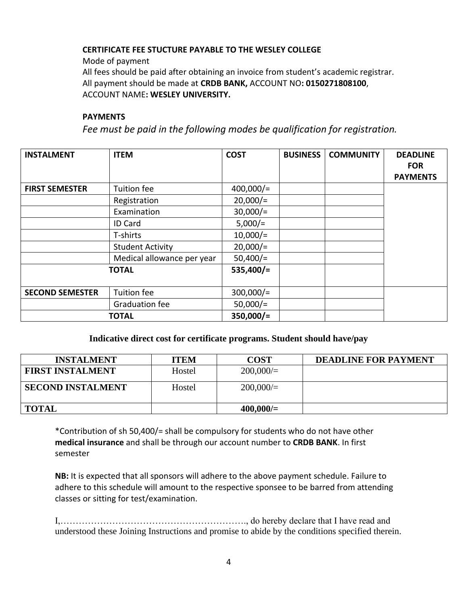### **CERTIFICATE FEE STUCTURE PAYABLE TO THE WESLEY COLLEGE**

Mode of payment

All fees should be paid after obtaining an invoice from student's academic registrar. All payment should be made at **CRDB BANK,** ACCOUNT NO**: 0150271808100**, ACCOUNT NAME**: WESLEY UNIVERSITY.**

#### **PAYMENTS**

*Fee must be paid in the following modes be qualification for registration.*

| <b>INSTALMENT</b>      | <b>ITEM</b>                | <b>COST</b>  | <b>BUSINESS</b> | <b>COMMUNITY</b> | <b>DEADLINE</b> |
|------------------------|----------------------------|--------------|-----------------|------------------|-----------------|
|                        |                            |              |                 |                  | <b>FOR</b>      |
|                        |                            |              |                 |                  | <b>PAYMENTS</b> |
| <b>FIRST SEMESTER</b>  | Tuition fee                | $400,000/$ = |                 |                  |                 |
|                        | Registration               | $20,000/$ =  |                 |                  |                 |
|                        | Examination                | $30,000/$ =  |                 |                  |                 |
|                        | <b>ID Card</b>             | $5,000/=$    |                 |                  |                 |
|                        | T-shirts                   | $10,000/$ =  |                 |                  |                 |
|                        | <b>Student Activity</b>    | $20,000/$ =  |                 |                  |                 |
|                        | Medical allowance per year | $50,400/$ =  |                 |                  |                 |
|                        | <b>TOTAL</b>               | $535,400/=$  |                 |                  |                 |
| <b>SECOND SEMESTER</b> | Tuition fee                | $300,000/$ = |                 |                  |                 |
|                        | Graduation fee             | $50,000/$ =  |                 |                  |                 |
|                        | <b>TOTAL</b>               | $350,000/=$  |                 |                  |                 |

## **Indicative direct cost for certificate programs. Student should have/pay**

| <b>INSTALMENT</b>        | <b>ITEM</b> | <b>COST</b> | <b>DEADLINE FOR PAYMENT</b> |
|--------------------------|-------------|-------------|-----------------------------|
| <b>FIRST INSTALMENT</b>  | Hostel      | 200,000/    |                             |
| <b>SECOND INSTALMENT</b> | Hostel      | 200,000/    |                             |
| <b>TOTAL</b>             |             | $400,000/=$ |                             |

\*Contribution of sh 50,400/= shall be compulsory for students who do not have other **medical insurance** and shall be through our account number to **CRDB BANK**. In first semester

**NB:** It is expected that all sponsors will adhere to the above payment schedule. Failure to adhere to this schedule will amount to the respective sponsee to be barred from attending classes or sitting for test/examination.

I,……………………………………………………., do hereby declare that I have read and understood these Joining Instructions and promise to abide by the conditions specified therein.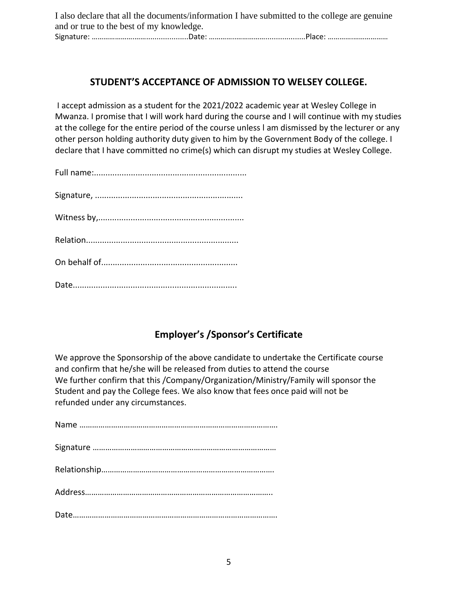I also declare that all the documents/information I have submitted to the college are genuine and or true to the best of my knowledge. Signature: ………………….……....................Date: …………..……………...................Place: ………….………………

## **STUDENT'S ACCEPTANCE OF ADMISSION TO WELSEY COLLEGE.**

I accept admission as a student for the 2021/2022 academic year at Wesley College in Mwanza. I promise that I will work hard during the course and I will continue with my studies at the college for the entire period of the course unless l am dismissed by the lecturer or any other person holding authority duty given to him by the Government Body of the college. I declare that I have committed no crime(s) which can disrupt my studies at Wesley College.

# **Employer's /Sponsor's Certificate**

We approve the Sponsorship of the above candidate to undertake the Certificate course and confirm that he/she will be released from duties to attend the course We further confirm that this /Company/Organization/Ministry/Family will sponsor the Student and pay the College fees. We also know that fees once paid will not be refunded under any circumstances.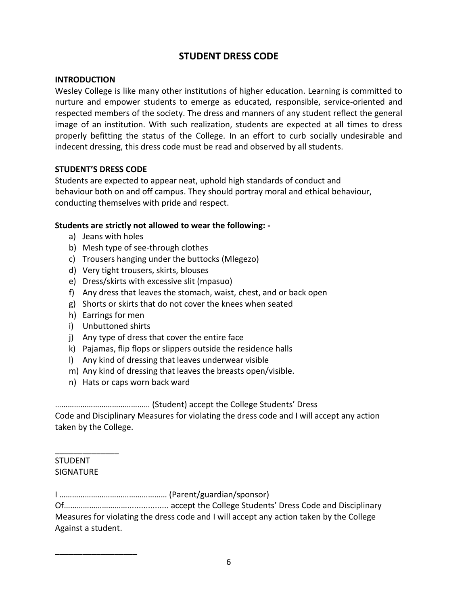## **STUDENT DRESS CODE**

### **INTRODUCTION**

Wesley College is like many other institutions of higher education. Learning is committed to nurture and empower students to emerge as educated, responsible, service-oriented and respected members of the society. The dress and manners of any student reflect the general image of an institution. With such realization, students are expected at all times to dress properly befitting the status of the College. In an effort to curb socially undesirable and indecent dressing, this dress code must be read and observed by all students.

#### **STUDENT'S DRESS CODE**

Students are expected to appear neat, uphold high standards of conduct and behaviour both on and off campus. They should portray moral and ethical behaviour, conducting themselves with pride and respect.

#### **Students are strictly not allowed to wear the following: -**

- a) Jeans with holes
- b) Mesh type of see-through clothes
- c) Trousers hanging under the buttocks (Mlegezo)
- d) Very tight trousers, skirts, blouses
- e) Dress/skirts with excessive slit (mpasuo)
- f) Any dress that leaves the stomach, waist, chest, and or back open
- g) Shorts or skirts that do not cover the knees when seated
- h) Earrings for men
- i) Unbuttoned shirts
- j) Any type of dress that cover the entire face
- k) Pajamas, flip flops or slippers outside the residence halls
- l) Any kind of dressing that leaves underwear visible
- m) Any kind of dressing that leaves the breasts open/visible.
- n) Hats or caps worn back ward

……………………………………… (Student) accept the College Students' Dress

Code and Disciplinary Measures for violating the dress code and I will accept any action taken by the College.

### STUDENT SIGNATURE

\_\_\_\_\_\_\_\_\_\_\_\_\_\_

\_\_\_\_\_\_\_\_\_\_\_\_\_\_\_\_\_\_

I …………………………………………… (Parent/guardian/sponsor)

Of………………………….................. accept the College Students' Dress Code and Disciplinary Measures for violating the dress code and I will accept any action taken by the College Against a student.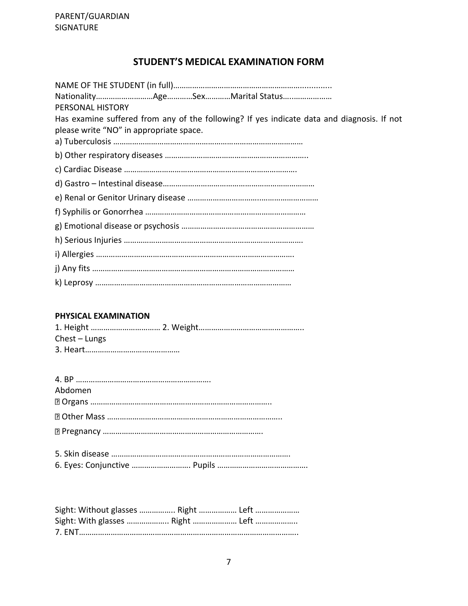## **STUDENT'S MEDICAL EXAMINATION FORM**

| PERSONAL HISTORY                                                                           |
|--------------------------------------------------------------------------------------------|
| Has examine suffered from any of the following? If yes indicate data and diagnosis. If not |
| please write "NO" in appropriate space.                                                    |
|                                                                                            |
|                                                                                            |
|                                                                                            |
|                                                                                            |
|                                                                                            |
|                                                                                            |
|                                                                                            |
|                                                                                            |
|                                                                                            |
|                                                                                            |
|                                                                                            |

### **PHYSICAL EXAMINATION**

| $Check$ – Lungs |  |
|-----------------|--|
|                 |  |

| Abdomen |
|---------|
|         |
|         |
|         |
|         |

| Sight: Without glasses  Right  Left |  |  |
|-------------------------------------|--|--|
| Sight: With glasses  Right  Left    |  |  |
|                                     |  |  |